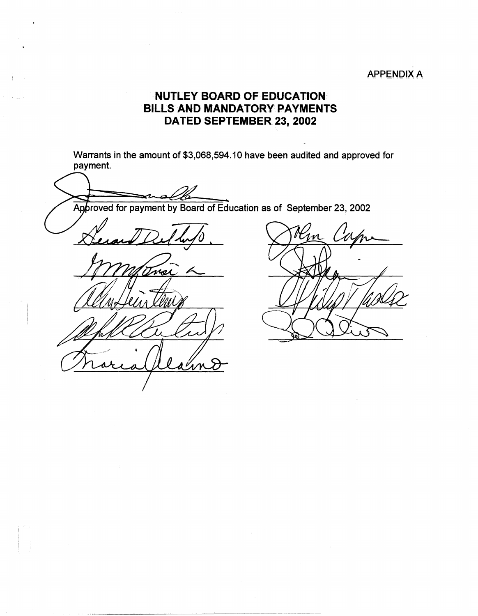## **APPENDIX A**

## **NUTLEY BOARD OF EDUCATION**  . **BILLS AND MANDATORY PAYMENTS DA TED SEPTEMBER 23, 2002**

Warrants in the amount of \$3,068,594.10 have been audited and approved for payment.

Approved for payment by Board of Education as of September 23, 2002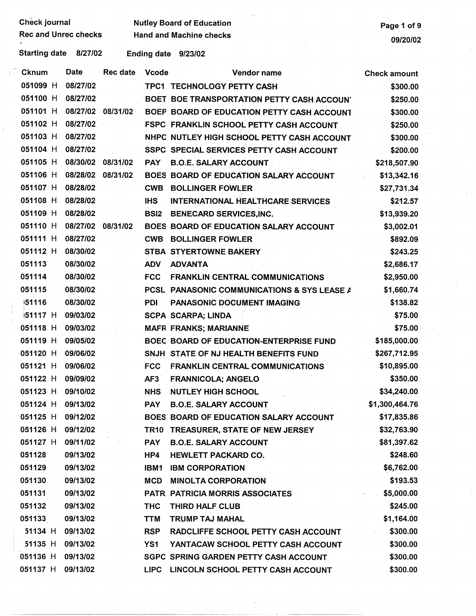| Check journal |  |
|---------------|--|
|---------------|--|

Check journal Mutley Board of Education<br>Rec and Unrec checks Hand and Machine checks Page 1 of 9

Starting date 8/27/02 Ending date 9/23/02

| Cknum             | Date              | <b>Rec date</b> | <b>Vcode</b> | Vendor name                                 | <b>Check amount</b> |
|-------------------|-------------------|-----------------|--------------|---------------------------------------------|---------------------|
| 051099 H          | 08/27/02          |                 |              | TPC1 TECHNOLOGY PETTY CASH                  | \$300.00            |
| 051100 H          | 08/27/02          |                 |              | BOET BOE TRANSPORTATION PETTY CASH ACCOUN'  | \$250.00            |
| 051101 H          | 08/27/02 08/31/02 |                 |              | BOEP BOARD OF EDUCATION PETTY CASH ACCOUNT  | \$300.00            |
| 051102 H          | 08/27/02          |                 |              | FSPC FRANKLIN SCHOOL PETTY CASH ACCOUNT     | \$250.00            |
| 051103 H          | 08/27/02          |                 |              | NHPC NUTLEY HIGH SCHOOL PETTY CASH ACCOUNT  | \$300.00            |
| 051104 H          | 08/27/02          |                 |              | SSPC SPECIAL SERVICES PETTY CASH ACCOUNT    | \$200.00            |
| 051105 H          | 08/30/02          | 08/31/02        | <b>PAY</b>   | <b>B.O.E. SALARY ACCOUNT</b>                | \$218,507.90        |
| 051106 H          | 08/28/02 08/31/02 |                 |              | BOES BOARD OF EDUCATION SALARY ACCOUNT      | \$13,342.16         |
| 051107 H          | 08/28/02          |                 | <b>CWB</b>   | <b>BOLLINGER FOWLER</b>                     | \$27,731.34         |
| 051108 H          | 08/28/02          |                 | <b>IHS</b>   | <b>INTERNATIONAL HEALTHCARE SERVICES</b>    | \$212.57            |
| 051109 H          | 08/28/02          |                 | <b>BSI2</b>  | <b>BENECARD SERVICES, INC.</b>              | \$13,939.20         |
| 051110 H          | 08/27/02          | 08/31/02        |              | BOES BOARD OF EDUCATION SALARY ACCOUNT      | \$3,002.01          |
| 051111 H          | 08/27/02          |                 | <b>CWB</b>   | <b>BOLLINGER FOWLER</b>                     | \$892.09            |
| 051112 H          | 08/30/02          |                 |              | STBA STYERTOWNE BAKERY                      | \$243.25            |
| 051113            | 08/30/02          |                 | <b>ADV</b>   | <b>ADVANTA</b>                              | \$2,686.17          |
| 051114            | 08/30/02          |                 | <b>FCC</b>   | <b>FRANKLIN CENTRAL COMMUNICATIONS</b>      | \$2,950.00          |
| 051115            | 08/30/02          |                 |              | PCSL PANASONIC COMMUNICATIONS & SYS LEASE A | \$1,660.74          |
| 51116             | 08/30/02          |                 | <b>PDI</b>   | PANASONIC DOCUMENT IMAGING                  | \$138.82            |
| 151117 H          | 09/03/02          |                 |              | <b>SCPA SCARPA; LINDA</b>                   | \$75.00             |
| 051118 H          | 09/03/02          |                 |              | <b>MAFR FRANKS; MARIANNE</b>                | \$75.00             |
| 051119 H          | 09/05/02          |                 |              | BOEC BOARD OF EDUCATION-ENTERPRISE FUND     | \$185,000.00        |
| 051120 H          | 09/06/02          |                 |              | SNJH STATE OF NJ HEALTH BENEFITS FUND       | \$267,712.95        |
| 051121 H          | 09/06/02          |                 | <b>FCC</b>   | <b>FRANKLIN CENTRAL COMMUNICATIONS</b>      | \$10,895.00         |
| 051122 H          | 09/09/02          |                 | AF3          | <b>FRANNICOLA; ANGELO</b>                   | \$350.00            |
| 051123 H          | 09/10/02          |                 | <b>NHS</b>   | <b>NUTLEY HIGH SCHOOL</b>                   | \$34,240.00         |
| 051124 H          | 09/13/02          |                 | <b>PAY</b>   | <b>B.O.E. SALARY ACCOUNT</b>                | \$1,300,464.76      |
| 051125 H 09/12/02 |                   |                 |              | BOES BOARD OF EDUCATION SALARY ACCOUNT      | \$17,835.86         |
| 051126 H          | 09/12/02          |                 | TR10         | TREASURER, STATE OF NEW JERSEY              | \$32,763.90         |
| 051127 H          | 09/11/02          |                 | <b>PAY</b>   | <b>B.O.E. SALARY ACCOUNT</b>                | \$81,397.62         |
| 051128            | 09/13/02          |                 | HP4          | HEWLETT PACKARD CO.                         | \$248.60            |
| 051129            | 09/13/02          |                 | IBM1         | <b>IBM CORPORATION</b>                      | \$6,762.00          |
| 051130            | 09/13/02          |                 | <b>MCD</b>   | <b>MINOLTA CORPORATION</b>                  | \$193.53            |
| 051131            | 09/13/02          |                 |              | PATR PATRICIA MORRIS ASSOCIATES             | \$5,000.00          |
| 051132            | 09/13/02          |                 | <b>THC</b>   | THIRD HALF CLUB                             | \$245.00            |
| 051133            | 09/13/02          |                 | <b>TTM</b>   | TRUMP TAJ MAHAL                             | \$1,164.00          |
| 51134 H           | 09/13/02          |                 | <b>RSP</b>   | RADCLIFFE SCHOOL PETTY CASH ACCOUNT         | \$300.00            |
| 51135 H           | 09/13/02          |                 | YS1          | YANTACAW SCHOOL PETTY CASH ACCOUNT          | \$300.00            |
| 051136 H          | 09/13/02          |                 |              | SGPC SPRING GARDEN PETTY CASH ACCOUNT       | \$300.00            |
| 051137 H          | 09/13/02          |                 | <b>LIPC</b>  | LINCOLN SCHOOL PETTY CASH ACCOUNT           | \$300.00            |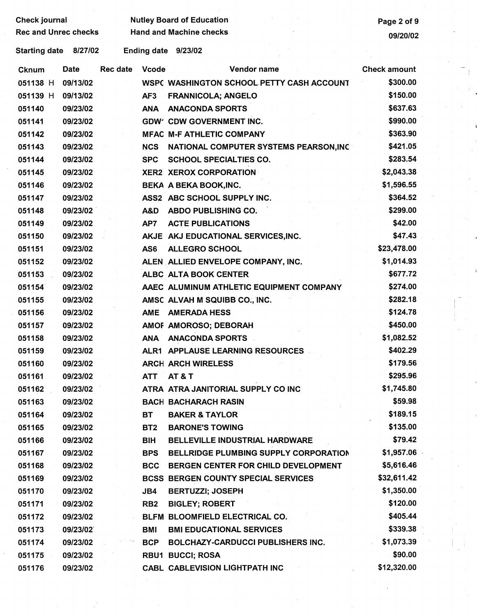| <b>Check journal</b> |                      |
|----------------------|----------------------|
|                      | Den and House shoots |

Nutley Board of Education **Page 2 of 9** Nutley Board of Education Rec and Unrec checks Hand and Machine checks **Hand and Machine checks 199/20/02** 

Starting date 8/27/02 Ending date 9/23/02

| <b>Cknum</b> | Date     | Rec date | <b>Vcode</b>    | Vendor name                                | <b>Check amount</b> |
|--------------|----------|----------|-----------------|--------------------------------------------|---------------------|
| 051138 H     | 09/13/02 |          |                 | WSPC WASHINGTON SCHOOL PETTY CASH ACCOUNT  | \$300.00            |
| 051139 H     | 09/13/02 |          | AF3             | <b>FRANNICOLA; ANGELO</b>                  | \$150.00            |
| 051140       | 09/23/02 |          | <b>ANA</b>      | <b>ANACONDA SPORTS</b>                     | \$637.63            |
| 051141       | 09/23/02 |          |                 | <b>GDW' CDW GOVERNMENT INC.</b>            | \$990.00            |
| 051142       | 09/23/02 |          |                 | <b>MFAC M-F ATHLETIC COMPANY</b>           | \$363.90            |
| 051143       | 09/23/02 |          | <b>NCS</b>      | NATIONAL COMPUTER SYSTEMS PEARSON, INC     | \$421.05            |
| 051144       | 09/23/02 |          | <b>SPC</b>      | <b>SCHOOL SPECIALTIES CO.</b>              | \$283.54            |
| 051145       | 09/23/02 |          |                 | <b>XER2 XEROX CORPORATION</b>              | \$2,043.38          |
| 051146       | 09/23/02 |          |                 | BEKA A BEKA BOOK, INC.                     | \$1,596.55          |
| 051147       | 09/23/02 |          |                 | ASS2 ABC SCHOOL SUPPLY INC.                | \$364.52            |
| 051148       | 09/23/02 |          | A&D             | ABDO PUBLISHING CO.                        | \$299.00            |
| 051149       | 09/23/02 |          | AP7             | <b>ACTE PUBLICATIONS</b>                   | \$42.00             |
| 051150       | 09/23/02 |          |                 | AKJE AKJ EDUCATIONAL SERVICES, INC.        | \$47.43             |
| 051151       | 09/23/02 |          | AS6             | <b>ALLEGRO SCHOOL</b>                      | \$23,478.00         |
| 051152       | 09/23/02 |          |                 | ALEN ALLIED ENVELOPE COMPANY, INC.         | \$1,014.93          |
| 051153       | 09/23/02 |          |                 | ALBC ALTA BOOK CENTER                      | \$677.72            |
| 051154       | 09/23/02 |          |                 | AAEC ALUMINUM ATHLETIC EQUIPMENT COMPANY   | \$274.00            |
| 051155       | 09/23/02 |          |                 | AMSC ALVAH M SQUIBB CO., INC.              | \$282.18            |
| 051156       | 09/23/02 |          | <b>AME</b>      | <b>AMERADA HESS</b>                        | \$124.78            |
| 051157       | 09/23/02 |          |                 | AMOF AMOROSO; DEBORAH                      | \$450.00            |
| 051158       | 09/23/02 |          | <b>ANA</b>      | <b>ANACONDA SPORTS</b>                     | \$1,082.52          |
| 051159       | 09/23/02 |          |                 | ALR1 APPLAUSE LEARNING RESOURCES           | \$402.29            |
| 051160       | 09/23/02 |          |                 | <b>ARCH ARCH WIRELESS</b>                  | \$179.56            |
| 051161       | 09/23/02 |          | ATT             | <b>AT &amp; T</b>                          | \$295.96            |
| 051162       | 09/23/02 |          |                 | ATRA ATRA JANITORIAL SUPPLY CO INC         | \$1,745.80          |
| 051163       | 09/23/02 |          |                 | <b>BACH BACHARACH RASIN</b>                | \$59.98             |
| 051164       | 09/23/02 |          | ВT              | <b>BAKER &amp; TAYLOR</b>                  | \$189.15            |
| 051165       | 09/23/02 |          | BT <sub>2</sub> | <b>BARONE'S TOWING</b>                     | \$135.00            |
| 051166       | 09/23/02 |          | BIH             | <b>BELLEVILLE INDUSTRIAL HARDWARE</b>      | \$79.42             |
| 051167       | 09/23/02 |          | <b>BPS</b>      | BELLRIDGE PLUMBING SUPPLY CORPORATION      | \$1,957.06          |
| 051168       | 09/23/02 |          | <b>BCC</b>      | BERGEN CENTER FOR CHILD DEVELOPMENT        | \$5,616.46          |
| 051169       | 09/23/02 |          |                 | <b>BCSS BERGEN COUNTY SPECIAL SERVICES</b> | \$32,611.42         |
| 051170       | 09/23/02 |          | JB4             | <b>BERTUZZI; JOSEPH</b>                    | \$1,350.00          |
| 051171       | 09/23/02 |          | RB <sub>2</sub> | <b>BIGLEY; ROBERT</b>                      | \$120.00            |
| 051172       | 09/23/02 |          |                 | BLFM BLOOMFIELD ELECTRICAL CO.             | \$405.44            |
| 051173       | 09/23/02 |          | BMI             | <b>BMI EDUCATIONAL SERVICES</b>            | \$339.38            |
| 051174       | 09/23/02 |          | <b>BCP</b>      | <b>BOLCHAZY-CARDUCCI PUBLISHERS INC.</b>   | \$1,073.39          |
| 051175       | 09/23/02 |          |                 | <b>RBU1 BUCCI; ROSA</b>                    | \$90.00             |
| 051176       | 09/23/02 |          |                 | CABL CABLEVISION LIGHTPATH INC             | \$12,320.00         |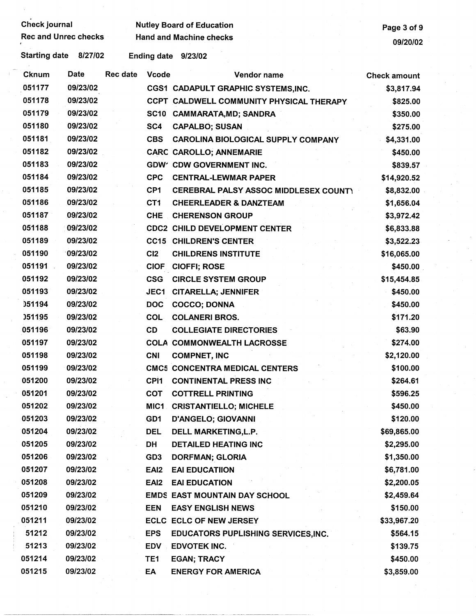| <b>Check journal</b>        |             |                 |                  | <b>Nutley Board of Education</b>           | Page 3 of 9         |
|-----------------------------|-------------|-----------------|------------------|--------------------------------------------|---------------------|
| <b>Rec and Unrec checks</b> |             |                 |                  | <b>Hand and Machine checks</b>             | 09/20/02            |
| <b>Starting date</b>        | 8/27/02     |                 |                  | Ending date 9/23/02                        |                     |
| <b>Cknum</b>                | <b>Date</b> | <b>Rec date</b> | <b>Vcode</b>     | Vendor name                                | <b>Check amount</b> |
| 051177                      | 09/23/02    |                 |                  | CGS1 CADAPULT GRAPHIC SYSTEMS, INC.        | \$3,817.94          |
| 051178                      | 09/23/02    |                 |                  | CCPT CALDWELL COMMUNITY PHYSICAL THERAPY   | \$825.00            |
| 051179                      | 09/23/02    |                 |                  | SC10 CAMMARATA, MD; SANDRA                 | \$350.00            |
| 051180                      | 09/23/02    |                 | SC4              | <b>CAPALBO; SUSAN</b>                      | \$275.00            |
| 051181                      | 09/23/02    |                 | <b>CBS</b>       | CAROLINA BIOLOGICAL SUPPLY COMPANY         | \$4,331.00          |
| 051182                      | 09/23/02    |                 |                  | <b>CARC CAROLLO; ANNEMARIE</b>             | \$450.00            |
| 051183                      | 09/23/02    |                 |                  | <b>GDW' CDW GOVERNMENT INC.</b>            | \$839.57            |
| 051184                      | 09/23/02    |                 | <b>CPC</b>       | <b>CENTRAL-LEWMAR PAPER</b>                | \$14,920.52         |
| 051185                      | 09/23/02    |                 | CP <sub>1</sub>  | CEREBRAL PALSY ASSOC MIDDLESEX COUNT)      | \$8,832.00          |
| 051186                      | 09/23/02    |                 | CT <sub>1</sub>  | <b>CHEERLEADER &amp; DANZTEAM</b>          | \$1,656.04          |
| 051187                      | 09/23/02    |                 | <b>CHE</b>       | <b>CHERENSON GROUP</b>                     | \$3,972.42          |
| 051188                      | 09/23/02    |                 |                  | <b>CDC2 CHILD DEVELOPMENT CENTER</b>       | \$6,833.88          |
| 051189                      | 09/23/02    |                 |                  | <b>CC15 CHILDREN'S CENTER</b>              | \$3,522.23          |
| 051190                      | 09/23/02    |                 | C12              | <b>CHILDRENS INSTITUTE</b>                 | \$16,065.00         |
| 051191                      | 09/23/02    |                 | <b>CIOF</b>      | <b>CIOFFI; ROSE</b>                        | \$450.00            |
| 051192                      | 09/23/02    |                 | <b>CSG</b>       | <b>CIRCLE SYSTEM GROUP</b>                 | \$15,454.85         |
| 051193                      | 09/23/02    |                 | JEC1             | <b>CITARELLA; JENNIFER</b>                 | \$450.00            |
| 051194                      | 09/23/02    |                 | <b>DOC</b>       | <b>COCCO; DONNA</b>                        | \$450.00            |
| 051195                      | 09/23/02    |                 | COL              | <b>COLANERI BROS.</b>                      | \$171.20            |
| 051196                      | 09/23/02    |                 | CD               | <b>COLLEGIATE DIRECTORIES</b>              | \$63.90             |
| 051197                      | 09/23/02    |                 |                  | <b>COLA COMMONWEALTH LACROSSE</b>          | \$274.00            |
| 051198                      | 09/23/02    |                 | <b>CNI</b>       | <b>COMPNET, INC</b>                        | \$2,120.00          |
| 051199                      | 09/23/02    |                 |                  | <b>CMC5 CONCENTRA MEDICAL CENTERS</b>      | \$100.00            |
| 051200                      | 09/23/02    |                 | CPI <sub>1</sub> | <b>CONTINENTAL PRESS INC</b>               | \$264.61            |
| 051201                      | 09/23/02    |                 | <b>COT</b>       | <b>COTTRELL PRINTING</b>                   | \$596.25            |
| 051202                      | 09/23/02    |                 | MIC1             | <b>CRISTANTIELLO; MICHELE</b>              | \$450.00            |
| 051203                      | 09/23/02    |                 | GD1              | <b>D'ANGELO; GIOVANNI</b>                  | \$120.00            |
| 051204                      | 09/23/02    |                 | <b>DEL</b>       | DELL MARKETING, L.P.                       | \$69,865.00         |
| 051205                      | 09/23/02    |                 | DH               | <b>DETAILED HEATING INC</b>                | \$2,295.00          |
| 051206                      | 09/23/02    |                 | GD <sub>3</sub>  | <b>DORFMAN; GLORIA</b>                     | \$1,350.00          |
| 051207                      | 09/23/02    |                 | EAI <sub>2</sub> | <b>EAI EDUCATIION</b>                      | \$6,781.00          |
| 051208                      | 09/23/02    |                 | EAI <sub>2</sub> | <b>EAI EDUCATION</b>                       | \$2,200.05          |
| 051209                      | 09/23/02    |                 |                  | <b>EMDS EAST MOUNTAIN DAY SCHOOL</b>       | \$2,459.64          |
| 051210                      | 09/23/02    |                 | <b>EEN</b>       | <b>EASY ENGLISH NEWS</b>                   | \$150.00            |
| 051211                      | 09/23/02    |                 |                  | ECLC ECLC OF NEW JERSEY                    | \$33,967.20         |
| 51212                       | 09/23/02    |                 | <b>EPS</b>       | <b>EDUCATORS PUPLISHING SERVICES, INC.</b> | \$564.15            |
| 51213                       | 09/23/02    |                 | <b>EDV</b>       | EDVOTEK INC.                               | \$139.75            |
| 051214                      | 09/23/02    |                 | TE1              | <b>EGAN; TRACY</b>                         | \$450.00            |
| 051215                      | 09/23/02    |                 | EA               | <b>ENERGY FOR AMERICA</b>                  | \$3,859.00          |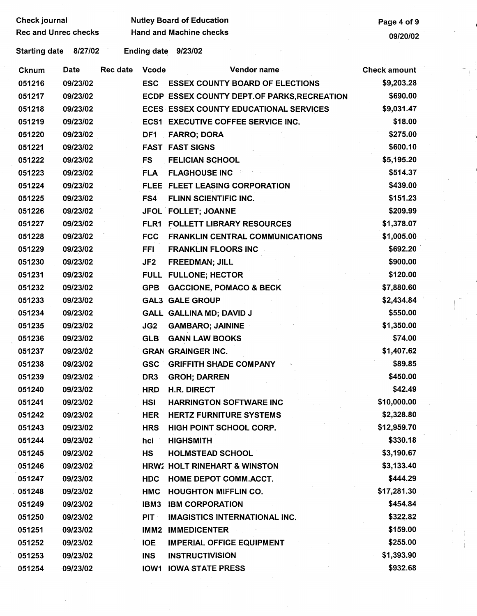| Check journal               |          |                 | <b>Nutley Board of Education</b> | Page 4 of 9                                   |                     |
|-----------------------------|----------|-----------------|----------------------------------|-----------------------------------------------|---------------------|
| <b>Rec and Unrec checks</b> |          |                 |                                  | <b>Hand and Machine checks</b>                | 09/20/02            |
| <b>Starting date</b>        | 8/27/02  |                 |                                  | Ending date 9/23/02                           |                     |
| Cknum                       | Date     | <b>Rec date</b> | <b>Vcode</b>                     | <b>Vendor name</b>                            | <b>Check amount</b> |
| 051216                      | 09/23/02 |                 | <b>ESC</b>                       | <b>ESSEX COUNTY BOARD OF ELECTIONS</b>        | \$9,203.28          |
| 051217                      | 09/23/02 |                 |                                  | ECDP ESSEX COUNTY DEPT.OF PARKS, RECREATION   | \$690.00            |
| 051218                      | 09/23/02 |                 |                                  | <b>ECES ESSEX COUNTY EDUCATIONAL SERVICES</b> | \$9,031.47          |
| 051219                      | 09/23/02 |                 |                                  | <b>ECS1 EXECUTIVE COFFEE SERVICE INC.</b>     | \$18.00             |
| 051220                      | 09/23/02 |                 | DF1                              | <b>FARRO; DORA</b>                            | \$275.00            |
| 051221                      | 09/23/02 |                 |                                  | <b>FAST FAST SIGNS</b>                        | \$600.10            |
| 051222                      | 09/23/02 |                 | <b>FS</b>                        | <b>FELICIAN SCHOOL</b>                        | \$5,195.20          |
| 051223                      | 09/23/02 |                 |                                  | <b>FLA FLAGHOUSE INC</b>                      | \$514.37            |
| 051224                      | 09/23/02 |                 |                                  | FLEE FLEET LEASING CORPORATION                | \$439.00            |
| 051225                      | 09/23/02 |                 | FS4                              | FLINN SCIENTIFIC INC.                         | \$151.23            |
| 051226                      | 09/23/02 |                 |                                  | JFOL FOLLET; JOANNE                           | \$209.99            |
| 051227                      | 09/23/02 |                 |                                  | FLR1 FOLLETT LIBRARY RESOURCES                | \$1,378.07          |
| 051228                      | 09/23/02 |                 | <b>FCC</b>                       | <b>FRANKLIN CENTRAL COMMUNICATIONS</b>        | \$1,005.00          |
| 051229                      | 09/23/02 |                 | <b>FFI</b>                       | <b>FRANKLIN FLOORS INC</b>                    | \$692.20            |
| 051230                      | 09/23/02 |                 | JF <sub>2</sub>                  | <b>FREEDMAN; JILL</b>                         | \$900.00            |
| 051231                      | 09/23/02 |                 |                                  | FULL FULLONE; HECTOR                          | \$120.00            |
| 051232                      | 09/23/02 |                 | <b>GPB</b>                       | <b>GACCIONE, POMACO &amp; BECK</b>            | \$7,880.60          |
| 051233                      | 09/23/02 |                 |                                  | <b>GAL3 GALE GROUP</b>                        | \$2,434.84          |
| 051234                      | 09/23/02 |                 |                                  | GALL GALLINA MD; DAVID J                      | \$550.00            |
| 051235                      | 09/23/02 |                 | JG2                              | <b>GAMBARO; JAININE</b>                       | \$1,350.00          |
| 051236                      | 09/23/02 |                 | <b>GLB</b>                       | <b>GANN LAW BOOKS</b>                         | \$74.00             |
| 051237                      | 09/23/02 |                 |                                  | <b>GRAN GRAINGER INC.</b>                     | \$1,407.62          |
| 051238                      | 09/23/02 |                 |                                  | <b>GSC GRIFFITH SHADE COMPANY</b>             | \$89.85             |
| 051239                      | 09/23/02 |                 | DR <sub>3</sub>                  | <b>GROH; DARREN</b>                           | \$450.00            |
| 051240                      | 09/23/02 |                 | <b>HRD</b>                       | <b>H.R. DIRECT</b>                            | \$42.49             |
| 051241                      | 09/23/02 |                 | HSI                              | <b>HARRINGTON SOFTWARE INC</b>                | \$10,000.00         |
| 051242                      | 09/23/02 |                 | <b>HER</b>                       | <b>HERTZ FURNITURE SYSTEMS</b>                | \$2,328.80          |
| 051243                      | 09/23/02 |                 | <b>HRS</b>                       | HIGH POINT SCHOOL CORP.                       | \$12,959.70         |
| 051244                      | 09/23/02 |                 | hci                              | <b>HIGHSMITH</b>                              | \$330.18            |
| 051245                      | 09/23/02 |                 | <b>HS</b>                        | <b>HOLMSTEAD SCHOOL</b>                       | \$3,190.67          |
| 051246                      | 09/23/02 |                 |                                  | <b>HRW2 HOLT RINEHART &amp; WINSTON</b>       | \$3,133.40          |
| 051247                      | 09/23/02 |                 | <b>HDC</b>                       | HOME DEPOT COMM.ACCT.                         | \$444.29            |
| 051248                      | 09/23/02 |                 | HMC                              | <b>HOUGHTON MIFFLIN CO.</b>                   | \$17,281.30         |
| 051249                      | 09/23/02 |                 | IBM3                             | <b>IBM CORPORATION</b>                        | \$454.84            |
| 051250                      | 09/23/02 |                 | <b>PIT</b>                       | <b>IMAGISTICS INTERNATIONAL INC.</b>          | \$322.82            |
| 051251                      | 09/23/02 |                 | IMM2                             | <b>IMMEDICENTER</b>                           | \$159.00            |
| 051252                      | 09/23/02 |                 | <b>IOE</b>                       | <b>IMPERIAL OFFICE EQUIPMENT</b>              | \$255.00            |
| 051253                      | 09/23/02 |                 | <b>INS</b>                       | <b>INSTRUCTIVISION</b>                        | \$1,393.90          |
| 051254                      | 09/23/02 |                 |                                  | <b>IOW1 IOWA STATE PRESS</b>                  | \$932.68            |

 $\frac{1}{\sqrt{2}}$ 

 $\frac{1}{\sqrt{2}}$ 

 $\begin{array}{c} \begin{array}{c} \begin{array}{c} \begin{array}{c} \begin{array}{c} \end{array} \\ \begin{array}{c} \end{array} \\ \begin{array}{c} \end{array} \\ \begin{array}{c} \end{array} \\ \begin{array}{c} \end{array} \\ \begin{array}{c} \end{array} \end{array} \end{array} \end{array}$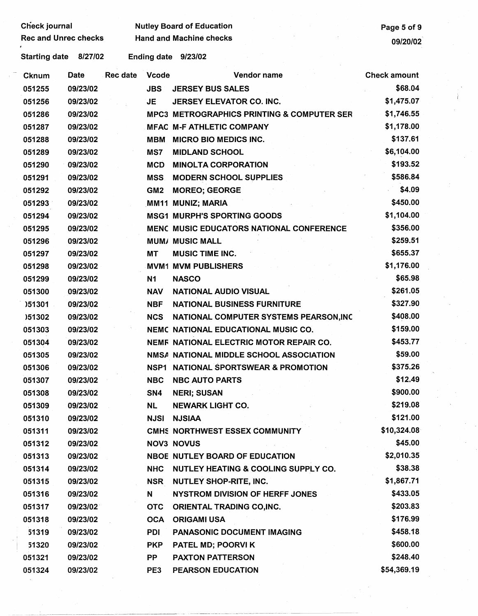Check journal Mutley Board of Education<br>Rec and Unrec checks Hand and Machine checks Page 5 of 9 Rec and Machine checks and Machine checks and Unrec checks of the United States of the United States of the United States of the United States of the United States of the United States of the United States of the United St

Starting date 8/27/02 Ending date 9/23/02

| <b>Cknum</b> | Date     | Rec date | <b>Vcode</b>    | Vendor name                                           | <b>Check amount</b> |
|--------------|----------|----------|-----------------|-------------------------------------------------------|---------------------|
| 051255       | 09/23/02 |          | <b>JBS</b>      | <b>JERSEY BUS SALES</b>                               | \$68.04             |
| 051256       | 09/23/02 |          | <b>JE</b>       | JERSEY ELEVATOR CO. INC.                              | \$1,475.07          |
| 051286       | 09/23/02 |          |                 | <b>MPC3 METROGRAPHICS PRINTING &amp; COMPUTER SER</b> | \$1,746.55          |
| 051287       | 09/23/02 |          |                 | <b>MFAC M-F ATHLETIC COMPANY</b>                      | \$1,178.00          |
| 051288       | 09/23/02 |          | <b>MBM</b>      | <b>MICRO BIO MEDICS INC.</b>                          | \$137.61            |
| 051289       | 09/23/02 |          | MS7             | <b>MIDLAND SCHOOL</b>                                 | \$6,104.00          |
| 051290       | 09/23/02 |          | <b>MCD</b>      | <b>MINOLTA CORPORATION</b>                            | \$193.52            |
| 051291       | 09/23/02 |          | <b>MSS</b>      | <b>MODERN SCHOOL SUPPLIES</b>                         | \$586.84            |
| 051292       | 09/23/02 |          | GM <sub>2</sub> | <b>MOREO; GEORGE</b>                                  | \$4.09              |
| 051293       | 09/23/02 |          |                 | MM11 MUNIZ; MARIA                                     | \$450.00            |
| 051294       | 09/23/02 |          |                 | <b>MSG1 MURPH'S SPORTING GOODS</b>                    | \$1,104.00          |
| 051295       | 09/23/02 |          |                 | <b>MENC MUSIC EDUCATORS NATIONAL CONFERENCE</b>       | \$356.00            |
| 051296       | 09/23/02 |          |                 | <b>MUM/ MUSIC MALL</b>                                | \$259.51            |
| 051297       | 09/23/02 |          | <b>MT</b>       | <b>MUSIC TIME INC.</b>                                | \$655.37            |
| 051298       | 09/23/02 |          |                 | <b>MVM1 MVM PUBLISHERS</b>                            | \$1,176.00          |
| 051299       | 09/23/02 |          | N1              | <b>NASCO</b>                                          | \$65.98             |
| 051300       | 09/23/02 |          | <b>NAV</b>      | <b>NATIONAL AUDIO VISUAL</b>                          | \$261.05            |
| 151301       | 09/23/02 |          | <b>NBF</b>      | <b>NATIONAL BUSINESS FURNITURE</b>                    | \$327.90            |
| )51302       | 09/23/02 |          | <b>NCS</b>      | NATIONAL COMPUTER SYSTEMS PEARSON, INC                | \$408.00            |
| 051303       | 09/23/02 |          |                 | <b>NEMC NATIONAL EDUCATIONAL MUSIC CO.</b>            | \$159.00            |
| 051304       | 09/23/02 |          |                 | NEMF NATIONAL ELECTRIC MOTOR REPAIR CO.               | \$453.77            |
| 051305       | 09/23/02 |          |                 | NMSA NATIONAL MIDDLE SCHOOL ASSOCIATION               | \$59.00             |
| 051306       | 09/23/02 |          | NSP1            | NATIONAL SPORTSWEAR & PROMOTION                       | \$375.26            |
| 051307       | 09/23/02 |          | <b>NBC</b>      | <b>NBC AUTO PARTS</b>                                 | \$12.49             |
| 051308       | 09/23/02 |          | SN4             | <b>NERI; SUSAN</b>                                    | \$900.00            |
| 051309       | 09/23/02 |          | <b>NL</b>       | <b>NEWARK LIGHT CO.</b>                               | \$219.08            |
| 051310       | 09/23/02 |          | NJSI            | <b>NJSIAA</b>                                         | \$121.00            |
| 051311       | 09/23/02 |          |                 | CMHS NORTHWEST ESSEX COMMUNITY                        | \$10,324.08         |
| 051312       | 09/23/02 |          |                 | <b>NOV3 NOVUS</b>                                     | \$45.00             |
| 051313       | 09/23/02 |          |                 | <b>NBOE NUTLEY BOARD OF EDUCATION</b>                 | \$2,010.35          |
| 051314       | 09/23/02 |          | <b>NHC</b>      | <b>NUTLEY HEATING &amp; COOLING SUPPLY CO.</b>        | \$38.38             |
| 051315       | 09/23/02 |          | <b>NSR</b>      | <b>NUTLEY SHOP-RITE, INC.</b>                         | \$1,867.71          |
| 051316       | 09/23/02 |          | N               | <b>NYSTROM DIVISION OF HERFF JONES</b>                | \$433.05            |
| 051317       | 09/23/02 |          | <b>OTC</b>      | <b>ORIENTAL TRADING CO,INC.</b>                       | \$203.83            |
| 051318       | 09/23/02 |          | <b>OCA</b>      | <b>ORIGAMI USA</b>                                    | \$176.99            |
| 51319        | 09/23/02 |          | <b>PDI</b>      | <b>PANASONIC DOCUMENT IMAGING</b>                     | \$458.18            |
| 51320        | 09/23/02 |          | <b>PKP</b>      | PATEL MD; POORVI K                                    | \$600.00            |
| 051321       | 09/23/02 |          | PP.             | <b>PAXTON PATTERSON</b>                               | \$248.40            |
| 051324       | 09/23/02 |          | PE3             | <b>PEARSON EDUCATION</b>                              | \$54,369.19         |

·-----· -- ·-····--·--·------~-------------------------------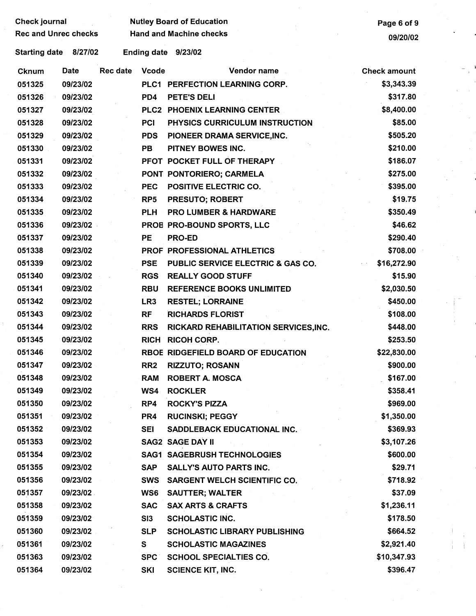| Check journal               |          |                 |                 | <b>Nutley Board of Education</b>      | Page 6 of 9         |  |
|-----------------------------|----------|-----------------|-----------------|---------------------------------------|---------------------|--|
| <b>Rec and Unrec checks</b> |          |                 |                 | <b>Hand and Machine checks</b>        |                     |  |
|                             |          |                 |                 |                                       | 09/20/02            |  |
| <b>Starting date</b>        | 8/27/02  |                 |                 | Ending date 9/23/02                   |                     |  |
| <b>Cknum</b>                | Date     | <b>Rec date</b> | <b>Vcode</b>    | Vendor name                           | <b>Check amount</b> |  |
| 051325                      | 09/23/02 |                 |                 | PLC1 PERFECTION LEARNING CORP.        | \$3,343.39          |  |
| 051326                      | 09/23/02 |                 | PD4             | PETE'S DELI                           | \$317.80            |  |
| 051327                      | 09/23/02 |                 |                 | PLC2 PHOENIX LEARNING CENTER          | \$8,400.00          |  |
| 051328                      | 09/23/02 |                 | <b>PCI</b>      | PHYSICS CURRICULUM INSTRUCTION        | \$85.00             |  |
| 051329                      | 09/23/02 |                 | <b>PDS</b>      | PIONEER DRAMA SERVICE, INC.           | \$505.20            |  |
| 051330                      | 09/23/02 |                 | <b>PB</b>       | PITNEY BOWES INC.                     | \$210.00            |  |
| 051331                      | 09/23/02 |                 |                 | PFOT POCKET FULL OF THERAPY           | \$186.07            |  |
| 051332                      | 09/23/02 |                 |                 | PONT PONTORIERO; CARMELA              | \$275.00            |  |
| 051333                      | 09/23/02 |                 | <b>PEC</b>      | POSITIVE ELECTRIC CO.                 | \$395.00            |  |
| 051334                      | 09/23/02 |                 | RP <sub>5</sub> | <b>PRESUTO; ROBERT</b>                | \$19.75             |  |
| 051335                      | 09/23/02 |                 | <b>PLH</b>      | <b>PRO LUMBER &amp; HARDWARE</b>      | \$350.49            |  |
| 051336                      | 09/23/02 |                 |                 | PROB PRO-BOUND SPORTS, LLC            | \$46.62             |  |
| 051337                      | 09/23/02 |                 | <b>PE</b>       | <b>PRO-ED</b>                         | \$290.40            |  |
| 051338                      | 09/23/02 |                 |                 | PROF PROFESSIONAL ATHLETICS           | \$708.00            |  |
| 051339                      | 09/23/02 |                 | <b>PSE</b>      | PUBLIC SERVICE ELECTRIC & GAS CO.     | \$16,272.90         |  |
| 051340                      | 09/23/02 |                 | <b>RGS</b>      | <b>REALLY GOOD STUFF</b>              | \$15.90             |  |
| 051341                      | 09/23/02 |                 | <b>RBU</b>      | <b>REFERENCE BOOKS UNLIMITED</b>      | \$2,030.50          |  |
| 051342                      | 09/23/02 |                 | LR <sub>3</sub> | <b>RESTEL; LORRAINE</b>               | \$450.00            |  |
| 051343                      | 09/23/02 |                 | <b>RF</b>       | <b>RICHARDS FLORIST</b>               | \$108.00            |  |
| 051344                      | 09/23/02 |                 | <b>RRS</b>      | RICKARD REHABILITATION SERVICES, INC. | \$448.00            |  |
| 051345                      | 09/23/02 |                 | <b>RICH</b>     | <b>RICOH CORP.</b>                    | \$253.50            |  |
| 051346                      | 09/23/02 |                 |                 | RBOE RIDGEFIELD BOARD OF EDUCATION    | \$22,830.00         |  |
| 051347                      | 09/23/02 |                 | RR <sub>2</sub> | <b>RIZZUTO; ROSANN</b>                | \$900.00            |  |
| 051348                      | 09/23/02 |                 | <b>RAM</b>      | <b>ROBERT A. MOSCA</b>                | \$167.00            |  |
| 051349                      | 09/23/02 |                 | WS4             | <b>ROCKLER</b>                        | \$358.41            |  |
| 051350                      | 09/23/02 |                 | RP4             | <b>ROCKY'S PIZZA</b>                  | \$969.00            |  |
| 051351                      | 09/23/02 |                 | PR4             | <b>RUCINSKI; PEGGY</b>                | \$1,350.00          |  |
| 051352                      | 09/23/02 |                 | <b>SEI</b>      | <b>SADDLEBACK EDUCATIONAL INC.</b>    | \$369.93            |  |
| 051353                      | 09/23/02 |                 |                 | <b>SAG2 SAGE DAY II</b>               | \$3,107.26          |  |
| 051354                      | 09/23/02 |                 |                 | <b>SAG1 SAGEBRUSH TECHNOLOGIES</b>    | \$600.00            |  |
| 051355                      | 09/23/02 |                 | <b>SAP</b>      | <b>SALLY'S AUTO PARTS INC.</b>        | \$29.71             |  |
| 051356                      | 09/23/02 |                 | <b>SWS</b>      | SARGENT WELCH SCIENTIFIC CO.          | \$718.92            |  |
| 051357                      | 09/23/02 |                 | WS6             | <b>SAUTTER; WALTER</b>                | \$37.09             |  |
| 051358                      | 09/23/02 |                 | <b>SAC</b>      | <b>SAX ARTS &amp; CRAFTS</b>          | \$1,236.11          |  |
| 051359                      | 09/23/02 |                 | SI3             | <b>SCHOLASTIC INC.</b>                | \$178.50            |  |
| 051360                      | 09/23/02 |                 | <b>SLP</b>      | <b>SCHOLASTIC LIBRARY PUBLISHING</b>  | \$664.52            |  |
| 051361                      | 09/23/02 |                 | S               | <b>SCHOLASTIC MAGAZINES</b>           | \$2,921.40          |  |
| 051363                      | 09/23/02 |                 | <b>SPC</b>      | <b>SCHOOL SPECIALTIES CO.</b>         | \$10,347.93         |  |
| 051364                      | 09/23/02 |                 | <b>SKI</b>      | <b>SCIENCE KIT, INC.</b>              | \$396.47            |  |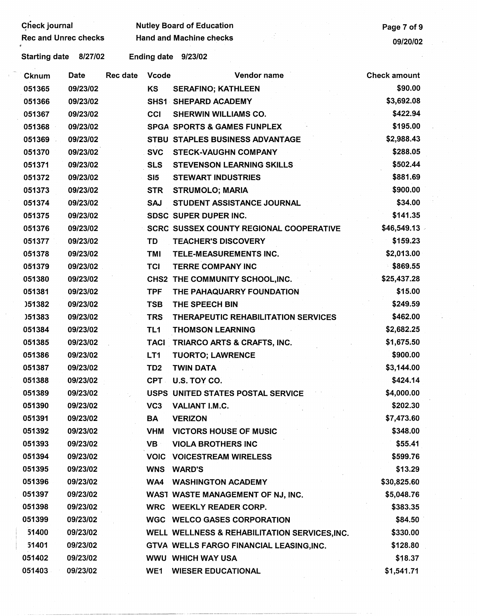| Check journal               |          |                 |                 | <b>Nutley Board of Education</b>               | Page 7 of 9         |
|-----------------------------|----------|-----------------|-----------------|------------------------------------------------|---------------------|
| <b>Rec and Unrec checks</b> |          |                 |                 | <b>Hand and Machine checks</b>                 | 09/20/02            |
| <b>Starting date</b>        | 8/27/02  |                 |                 | Ending date 9/23/02                            |                     |
| <b>Cknum</b>                | Date     | <b>Rec date</b> | <b>Vcode</b>    | Vendor name                                    | <b>Check amount</b> |
| 051365                      | 09/23/02 |                 | <b>KS</b>       | <b>SERAFINO; KATHLEEN</b>                      | \$90.00             |
| 051366                      | 09/23/02 |                 |                 | SHS1 SHEPARD ACADEMY                           | \$3,692.08          |
| 051367                      | 09/23/02 |                 | <b>CCI</b>      | <b>SHERWIN WILLIAMS CO.</b>                    | \$422.94            |
| 051368                      | 09/23/02 |                 |                 | <b>SPGA SPORTS &amp; GAMES FUNPLEX</b>         | \$195.00            |
| 051369                      | 09/23/02 |                 |                 | STBU STAPLES BUSINESS ADVANTAGE                | \$2,988.43          |
| 051370                      | 09/23/02 |                 | <b>SVC</b>      | <b>STECK-VAUGHN COMPANY</b>                    | \$288.05            |
| 051371                      | 09/23/02 |                 | <b>SLS</b>      | <b>STEVENSON LEARNING SKILLS</b>               | \$502.44            |
| 051372                      | 09/23/02 |                 | SI5             | <b>STEWART INDUSTRIES</b>                      | \$881.69            |
| 051373                      | 09/23/02 |                 | <b>STR</b>      | <b>STRUMOLO; MARIA</b>                         | \$900.00            |
| 051374                      | 09/23/02 |                 | <b>SAJ</b>      | STUDENT ASSISTANCE JOURNAL                     | \$34.00             |
| 051375                      | 09/23/02 |                 |                 | SDSC SUPER DUPER INC.                          | \$141.35            |
| 051376                      | 09/23/02 |                 |                 | <b>SCRC SUSSEX COUNTY REGIONAL COOPERATIVE</b> | \$46,549.13         |
| 051377                      | 09/23/02 |                 | TD              | <b>TEACHER'S DISCOVERY</b>                     | \$159.23            |
| 051378                      | 09/23/02 |                 | <b>TMI</b>      | TELE-MEASUREMENTS INC.                         | \$2,013.00          |
| 051379                      | 09/23/02 |                 | <b>TCI</b>      | <b>TERRE COMPANY INC</b>                       | \$869.55            |
| 051380                      | 09/23/02 |                 |                 | CHS2 THE COMMUNITY SCHOOL, INC.                | \$25,437.28         |
| 051381                      | 09/23/02 |                 | <b>TPF</b>      | THE PAHAQUARRY FOUNDATION                      | \$15.00             |
| )51382                      | 09/23/02 |                 | <b>TSB</b>      | THE SPEECH BIN                                 | \$249.59            |
| )51383                      | 09/23/02 |                 | <b>TRS</b>      | THERAPEUTIC REHABILITATION SERVICES            | \$462.00            |
| 051384                      | 09/23/02 |                 | TL <sub>1</sub> | <b>THOMSON LEARNING</b>                        | \$2,682.25          |
| 051385                      | 09/23/02 |                 | <b>TACI</b>     | TRIARCO ARTS & CRAFTS, INC.                    | \$1,675.50          |
| 051386                      | 09/23/02 |                 | LT <sub>1</sub> | <b>TUORTO; LAWRENCE</b>                        | \$900.00            |
| 051387                      | 09/23/02 |                 | TD <sub>2</sub> | <b>TWIN DATA</b>                               | \$3,144.00          |
| 051388                      | 09/23/02 |                 |                 | CPT U.S. TOY CO.                               | \$424.14            |
| 051389                      | 09/23/02 |                 |                 | USPS UNITED STATES POSTAL SERVICE              | \$4,000.00          |
| 051390                      | 09/23/02 |                 | VC <sub>3</sub> | VALIANT I.M.C.                                 | \$202.30            |
| 051391                      | 09/23/02 |                 | BA              | <b>VERIZON</b>                                 | \$7,473.60          |
| 051392                      | 09/23/02 |                 | <b>VHM</b>      | <b>VICTORS HOUSE OF MUSIC</b>                  | \$348.00            |
| 051393                      | 09/23/02 |                 | VB :            | <b>VIOLA BROTHERS INC</b>                      | \$55.41             |
| 051394                      | 09/23/02 |                 |                 | <b>VOIC VOICESTREAM WIRELESS</b>               | \$599.76            |
| 051395                      | 09/23/02 |                 | <b>WNS</b>      | <b>WARD'S</b>                                  | \$13.29             |
| 051396                      | 09/23/02 |                 | WA4             | <b>WASHINGTON ACADEMY</b>                      | \$30,825.60         |
| 051397                      | 09/23/02 |                 |                 | WAST WASTE MANAGEMENT OF NJ, INC.              | \$5,048.76          |
| 051398                      | 09/23/02 |                 |                 | WRC WEEKLY READER CORP.                        | \$383.35            |
| 051399                      | 09/23/02 |                 |                 | <b>WGC WELCO GASES CORPORATION</b>             | \$84.50             |
| 51400                       | 09/23/02 |                 |                 | WELL WELLNESS & REHABILITATION SERVICES, INC.  | \$330.00            |
| 51401                       | 09/23/02 |                 |                 | GTVA WELLS FARGO FINANCIAL LEASING, INC.       | \$128.80            |
| 051402                      | 09/23/02 |                 |                 | <b>WWU WHICH WAY USA</b>                       | \$18.37             |
| 051403                      | 09/23/02 |                 | WE1             | <b>WIESER EDUCATIONAL</b>                      | \$1,541.71          |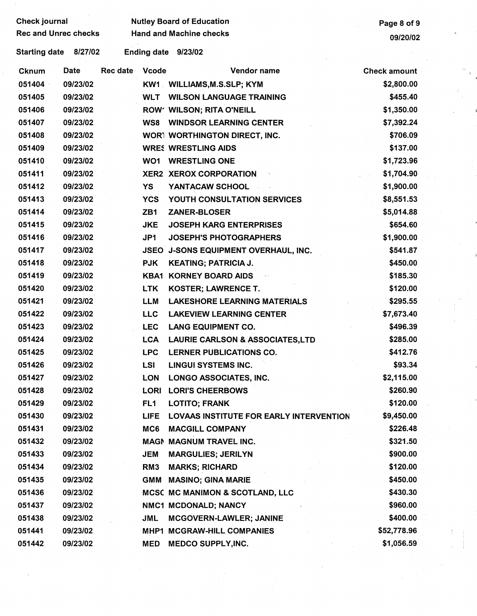| <b>Check journal</b>        |             |          |                 | <b>Nutley Board of Education</b>           | Page 8 of 9         |
|-----------------------------|-------------|----------|-----------------|--------------------------------------------|---------------------|
| <b>Rec and Unrec checks</b> |             |          |                 | <b>Hand and Machine checks</b>             | 09/20/02            |
| <b>Starting date</b>        | 8/27/02     |          |                 | Ending date 9/23/02                        |                     |
| <b>Cknum</b>                | <b>Date</b> | Rec date | <b>Vcode</b>    | Vendor name                                | <b>Check amount</b> |
| 051404                      | 09/23/02    |          |                 | KW1 WILLIAMS, M.S.SLP; KYM                 | \$2,800.00          |
| 051405                      | 09/23/02    |          |                 | <b>WLT WILSON LANGUAGE TRAINING</b>        | \$455.40            |
| 051406                      | 09/23/02    |          |                 | ROW' WILSON; RITA O'NEILL                  | \$1,350.00          |
| 051407                      | 09/23/02    |          | WS8             | <b>WINDSOR LEARNING CENTER</b>             | \$7,392.24          |
| 051408                      | 09/23/02    |          |                 | WORT WORTHINGTON DIRECT, INC.              | \$706.09            |
| 051409                      | 09/23/02    |          |                 | <b>WRES WRESTLING AIDS</b>                 | \$137.00            |
| 051410                      | 09/23/02    |          | WO1             | <b>WRESTLING ONE</b>                       | \$1,723.96          |
| 051411                      | 09/23/02    |          |                 | XER2 XEROX CORPORATION                     | \$1,704.90          |
| 051412                      | 09/23/02    |          | YS              | YANTACAW SCHOOL                            | \$1,900.00          |
| 051413                      | 09/23/02    |          | <b>YCS</b>      | YOUTH CONSULTATION SERVICES                | \$8,551.53          |
| 051414                      | 09/23/02    |          | ZB <sub>1</sub> | <b>ZANER-BLOSER</b>                        | \$5,014.88          |
| 051415                      | 09/23/02    |          | <b>JKE</b>      | <b>JOSEPH KARG ENTERPRISES</b>             | \$654.60            |
| 051416                      | 09/23/02    |          | JP1             | <b>JOSEPH'S PHOTOGRAPHERS</b>              | \$1,900.00          |
| 051417                      | 09/23/02    |          |                 | JSEO J-SONS EQUIPMENT OVERHAUL, INC.       | \$541.87            |
| 051418                      | 09/23/02    |          | <b>PJK</b>      | <b>KEATING; PATRICIA J.</b>                | \$450.00            |
| 051419                      | 09/23/02    |          |                 | <b>KBA1 KORNEY BOARD AIDS</b>              | \$185.30            |
| 051420                      | 09/23/02    |          | <b>LTK</b>      | <b>KOSTER; LAWRENCE T.</b>                 | \$120.00            |
| 051421                      | 09/23/02    |          | <b>LLM</b>      | <b>LAKESHORE LEARNING MATERIALS</b>        | \$295.55            |
| 051422                      | 09/23/02    |          | <b>LLC</b>      | <b>LAKEVIEW LEARNING CENTER</b>            | \$7,673.40          |
| 051423                      | 09/23/02    |          | <b>LEC</b>      | <b>LANG EQUIPMENT CO.</b>                  | \$496.39            |
| 051424                      | 09/23/02    |          | <b>LCA</b>      | <b>LAURIE CARLSON &amp; ASSOCIATES,LTD</b> | \$285.00            |
| 051425                      | 09/23/02    |          | <b>LPC</b>      | <b>LERNER PUBLICATIONS CO.</b>             | \$412.76            |
| 051426                      | 09/23/02    |          | LSI.            | <b>LINGUI SYSTEMS INC.</b>                 | \$93.34             |
| 051427                      | 09/23/02    |          | <b>LON</b>      | <b>LONGO ASSOCIATES, INC.</b>              | \$2,115.00          |
| 051428                      | 09/23/02    |          |                 | LORI LORI'S CHEERBOWS                      | \$260.90            |
| 051429                      | 09/23/02    |          | FL <sub>1</sub> | <b>LOTITO; FRANK</b>                       | \$120.00            |
| 051430                      | 09/23/02    |          | <b>LIFE</b>     | LOVAAS INSTITUTE FOR EARLY INTERVENTION    | \$9,450.00          |
| 051431                      | 09/23/02    |          | MC6             | <b>MACGILL COMPANY</b>                     | \$226.48            |
| 051432                      | 09/23/02    |          |                 | MAGN MAGNUM TRAVEL INC.                    | \$321.50            |
| 051433                      | 09/23/02    |          | JEM             | <b>MARGULIES; JERILYN</b>                  | \$900.00            |
| 051434                      | 09/23/02    |          | RM <sub>3</sub> | <b>MARKS; RICHARD</b>                      | \$120.00            |
| 051435                      | 09/23/02    |          | GMM             | <b>MASINO; GINA MARIE</b>                  | \$450.00            |
| 051436                      | 09/23/02    |          |                 | MCSC MC MANIMON & SCOTLAND, LLC            | \$430.30            |
| 051437                      | 09/23/02    |          |                 | NMC1 MCDONALD; NANCY                       | \$960.00            |
| 051438                      | 09/23/02    |          | <b>JML</b>      | MCGOVERN-LAWLER; JANINE                    | \$400.00            |
| 051441                      | 09/23/02    |          |                 | MHP1 MCGRAW-HILL COMPANIES                 | \$52,778.96         |
| 051442                      | 09/23/02    |          | MED             | <b>MEDCO SUPPLY, INC.</b>                  | \$1,056.59          |